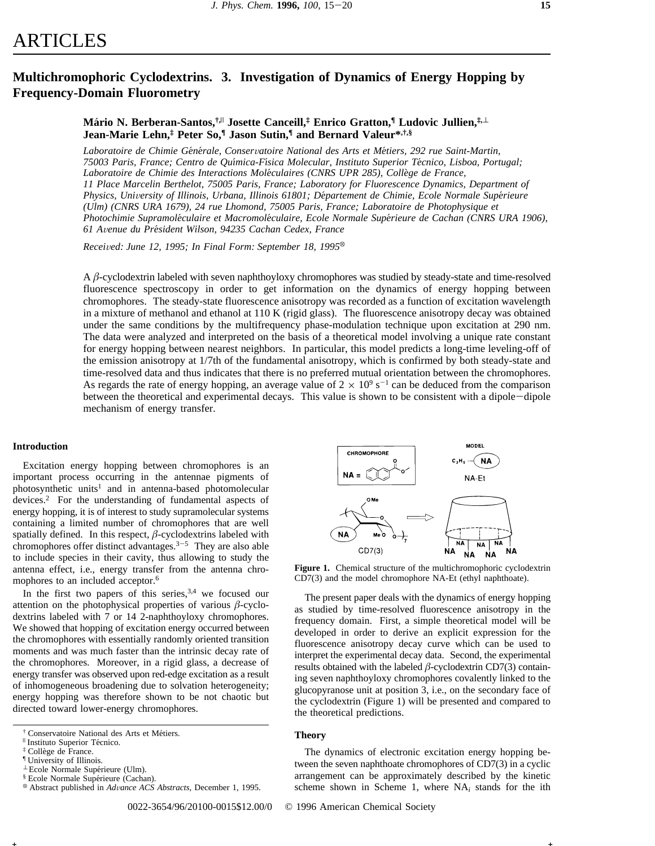# ARTICLES

## Multichromophoric Cyclodextrins. 3. Investigation of Dynamics of Energy Hopping by **Frequency-Domain Fluorometry**

### Mário N. Berberan-Santos, ill Josette Canceill,<sup>†</sup> Enrico Gratton, III Ludovic Jullien, il Jean-Marie Lehn,<sup>‡</sup> Peter So,<sup>¶</sup> Jason Sutin,<sup>¶</sup> and Bernard Valeur\*,<sup>†</sup>,§

Laboratoire de Chimie Générale, Conservatoire National des Arts et Métiers, 292 rue Saint-Martin, 75003 Paris, France; Centro de Química-Física Molecular, Instituto Superior Técnico, Lisboa, Portugal; Laboratoire de Chimie des Interactions Moléculaires (CNRS UPR 285), Collège de France, 11 Place Marcelin Berthelot, 75005 Paris, France; Laboratory for Fluorescence Dynamics, Department of Physics, University of Illinois, Urbana, Illinois 61801; Département de Chimie, Ecole Normale Supérieure (Ulm) (CNRS URA 1679), 24 rue Lhomond, 75005 Paris, France; Laboratoire de Photophysique et Photochimie Supramoléculaire et Macromoléculaire, Ecole Normale Supérieure de Cachan (CNRS URA 1906), 61 Avenue du Président Wilson, 94235 Cachan Cedex, France

Received: June 12, 1995; In Final Form: September 18, 1995<sup>®</sup>

A  $\beta$ -cyclodextrin labeled with seven naphthoyloxy chromophores was studied by steady-state and time-resolved fluorescence spectroscopy in order to get information on the dynamics of energy hopping between chromophores. The steady-state fluorescence anisotropy was recorded as a function of excitation wavelength in a mixture of methanol and ethanol at  $110 K$  (rigid glass). The fluorescence anisotropy decay was obtained under the same conditions by the multifrequency phase-modulation technique upon excitation at 290 nm. The data were analyzed and interpreted on the basis of a theoretical model involving a unique rate constant for energy hopping between nearest neighbors. In particular, this model predicts a long-time leveling-off of the emission anisotropy at 1/7th of the fundamental anisotropy, which is confirmed by both steady-state and time-resolved data and thus indicates that there is no preferred mutual orientation between the chromophores. As regards the rate of energy hopping, an average value of  $2 \times 10^9$  s<sup>-1</sup> can be deduced from the comparison between the theoretical and experimental decays. This value is shown to be consistent with a dipole-dipole mechanism of energy transfer.

### Introduction

Excitation energy hopping between chromophores is an important process occurring in the antennae pigments of photosynthetic units<sup>1</sup> and in antenna-based photomolecular devices.<sup>2</sup> For the understanding of fundamental aspects of energy hopping, it is of interest to study supramolecular systems containing a limited number of chromophores that are well spatially defined. In this respect,  $\beta$ -cyclodextrins labeled with chromophores offer distinct advantages.<sup>3-5</sup> They are also able to include species in their cavity, thus allowing to study the antenna effect, i.e., energy transfer from the antenna chromophores to an included acceptor.<sup>6</sup>

In the first two papers of this series,  $3,4$  we focused our attention on the photophysical properties of various  $\beta$ -cyclodextrins labeled with 7 or 14 2-naphthoyloxy chromophores. We showed that hopping of excitation energy occurred between the chromophores with essentially randomly oriented transition moments and was much faster than the intrinsic decay rate of the chromophores. Moreover, in a rigid glass, a decrease of energy transfer was observed upon red-edge excitation as a result of inhomogeneous broadening due to solvation heterogeneity; energy hopping was therefore shown to be not chaotic but directed toward lower-energy chromophores.



Figure 1. Chemical structure of the multichromophoric cyclodextrin CD7(3) and the model chromophore NA-Et (ethyl naphthoate).

The present paper deals with the dynamics of energy hopping as studied by time-resolved fluorescence anisotropy in the frequency domain. First, a simple theoretical model will be developed in order to derive an explicit expression for the fluorescence anisotropy decay curve which can be used to interpret the experimental decay data. Second, the experimental results obtained with the labeled  $\beta$ -cyclodextrin CD7(3) containing seven naphthoyloxy chromophores covalently linked to the glucopyranose unit at position 3, i.e., on the secondary face of the cyclodextrin (Figure 1) will be presented and compared to the theoretical predictions.

### **Theory**

The dynamics of electronic excitation energy hopping between the seven naphthoate chromophores of CD7(3) in a cyclic arrangement can be approximately described by the kinetic scheme shown in Scheme 1, where  $NA_i$  stands for the ith

0022-3654/96/20100-0015\$12.00/0 © 1996 American Chemical Society

<sup>&</sup>lt;sup>†</sup> Conservatoire National des Arts et Métiers.

<sup>&</sup>lt;sup>Il</sup> Instituto Superior Técnico.

<sup>&</sup>lt;sup>‡</sup> Collège de France.

<sup>&</sup>lt;sup>1</sup> University of Illinois.

 $\perp$  Ecole Normale Supérieure (Ulm).

<sup>&</sup>lt;sup>§</sup> Ecole Normale Supérieure (Cachan).

<sup>&</sup>lt;sup>®</sup> Abstract published in Advance ACS Abstracts, December 1, 1995.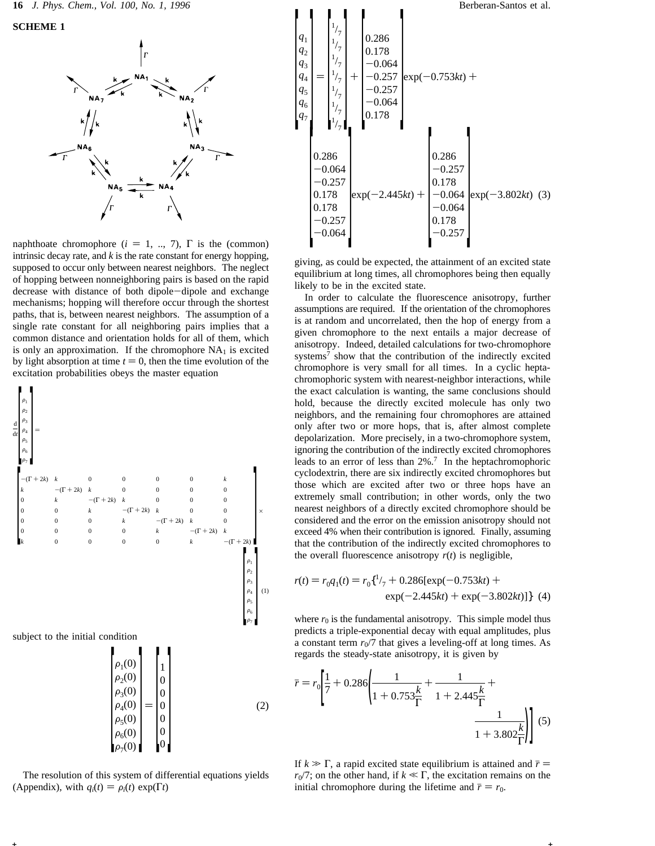**SCHEME 1**



naphthoate chromophore ( $i = 1, ..., 7$ ),  $\Gamma$  is the (common) intrinsic decay rate, and *k* is the rate constant for energy hopping, supposed to occur only between nearest neighbors. The neglect of hopping between nonneighboring pairs is based on the rapid decrease with distance of both dipole-dipole and exchange mechanisms; hopping will therefore occur through the shortest paths, that is, between nearest neighbors. The assumption of a single rate constant for all neighboring pairs implies that a common distance and orientation holds for all of them, which is only an approximation. If the chromophore  $NA<sub>1</sub>$  is excited by light absorption at time  $t = 0$ , then the time evolution of the excitation probabilities obeys the master equation



subject to the initial condition



**+ +**

The resolution of this system of differential equations yields (Appendix), with  $q_i(t) = \rho_i(t) \exp(\Gamma t)$ 



giving, as could be expected, the attainment of an excited state equilibrium at long times, all chromophores being then equally likely to be in the excited state.

In order to calculate the fluorescence anisotropy, further assumptions are required. If the orientation of the chromophores is at random and uncorrelated, then the hop of energy from a given chromophore to the next entails a major decrease of anisotropy. Indeed, detailed calculations for two-chromophore systems<sup>7</sup> show that the contribution of the indirectly excited chromophore is very small for all times. In a cyclic heptachromophoric system with nearest-neighbor interactions, while the exact calculation is wanting, the same conclusions should hold, because the directly excited molecule has only two neighbors, and the remaining four chromophores are attained only after two or more hops, that is, after almost complete depolarization. More precisely, in a two-chromophore system, ignoring the contribution of the indirectly excited chromophores leads to an error of less than 2%.7 In the heptachromophoric cyclodextrin, there are six indirectly excited chromophores but those which are excited after two or three hops have an extremely small contribution; in other words, only the two nearest neighbors of a directly excited chromophore should be considered and the error on the emission anisotropy should not exceed 4% when their contribution is ignored. Finally, assuming that the contribution of the indirectly excited chromophores to the overall fluorescence anisotropy  $r(t)$  is negligible,

$$
r(t) = r_0 q_1(t) = r_0 \left\{ \frac{1}{7} + 0.286 \left[ \exp(-0.753kt) + \exp(-3.802kt) \right] \right\}
$$
 (4)

where  $r_0$  is the fundamental anisotropy. This simple model thus predicts a triple-exponential decay with equal amplitudes, plus a constant term  $r_0/7$  that gives a leveling-off at long times. As regards the steady-state anisotropy, it is given by

$$
\bar{r} = r_0 \left[ \frac{1}{7} + 0.286 \left( \frac{1}{1 + 0.753 \frac{k}{\Gamma}} + \frac{1}{1 + 2.445 \frac{k}{\Gamma}} + \frac{1}{1 + 3.802 \frac{k}{\Gamma}} \right) \right]
$$
(5)

If  $k \gg \Gamma$ , a rapid excited state equilibrium is attained and  $\bar{r} =$  $r_0/7$ ; on the other hand, if  $k \ll \Gamma$ , the excitation remains on the initial chromophore during the lifetime and  $\bar{r} = r_0$ .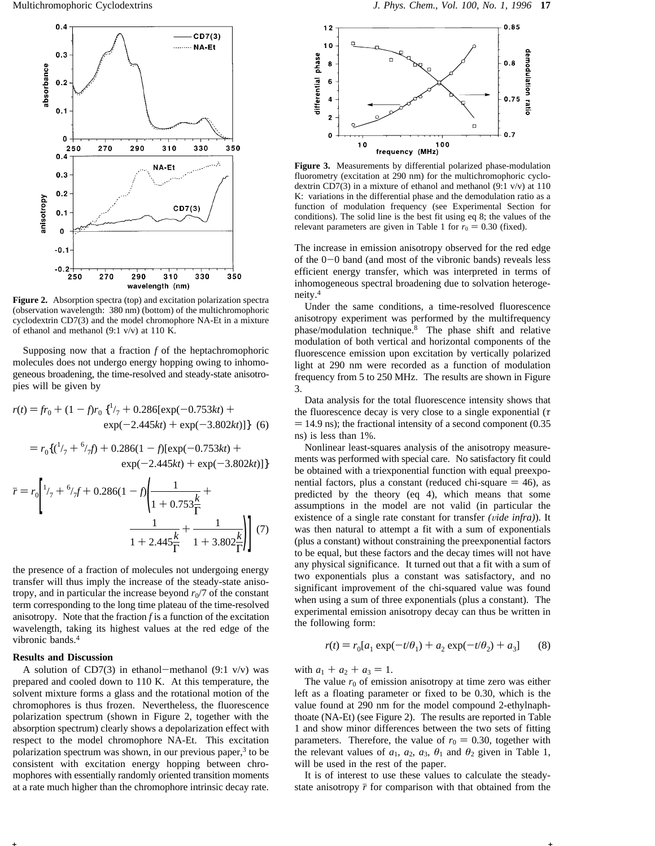

**Figure 2.** Absorption spectra (top) and excitation polarization spectra (observation wavelength: 380 nm) (bottom) of the multichromophoric cyclodextrin CD7(3) and the model chromophore NA-Et in a mixture of ethanol and methanol (9:1 v/v) at 110 K.

Supposing now that a fraction *f* of the heptachromophoric molecules does not undergo energy hopping owing to inhomogeneous broadening, the time-resolved and steady-state anisotropies will be given by

$$
r(t) = fr_0 + (1 - f)r_0 \left\{ \frac{1}{7} + 0.286[\exp(-0.753kt) + \exp(-2.445kt) + \exp(-3.802kt)] \right\}
$$
 (6)

$$
= r_0\{(1/7 + 6/7t) + 0.286(1 - t)[\exp(-0.753kt) + \exp(-2.445kt) + \exp(-3.802kt)]\}
$$

$$
\bar{r} = r_0 \left[ \frac{1}{7} + \frac{6}{7}f + 0.286(1 - f) \left( \frac{1}{1 + 0.753 \frac{k}{\Gamma}} + \frac{1}{1 + 2.445 \frac{k}{\Gamma}} + \frac{1}{1 + 3.802 \frac{k}{\Gamma}} \right) \right]
$$
(7)

the presence of a fraction of molecules not undergoing energy transfer will thus imply the increase of the steady-state anisotropy, and in particular the increase beyond  $r_0/7$  of the constant term corresponding to the long time plateau of the time-resolved anisotropy. Note that the fraction  $f$  is a function of the excitation wavelength, taking its highest values at the red edge of the vibronic bands.4

### **Results and Discussion**

 $\equiv$ 

A solution of CD7(3) in ethanol-methanol (9:1 v/v) was prepared and cooled down to 110 K. At this temperature, the solvent mixture forms a glass and the rotational motion of the chromophores is thus frozen. Nevertheless, the fluorescence polarization spectrum (shown in Figure 2, together with the absorption spectrum) clearly shows a depolarization effect with respect to the model chromophore NA-Et. This excitation polarization spectrum was shown, in our previous paper,<sup>3</sup> to be consistent with excitation energy hopping between chromophores with essentially randomly oriented transition moments at a rate much higher than the chromophore intrinsic decay rate.



**Figure 3.** Measurements by differential polarized phase-modulation fluorometry (excitation at 290 nm) for the multichromophoric cyclodextrin CD7(3) in a mixture of ethanol and methanol (9:1  $v/v$ ) at 110 K: variations in the differential phase and the demodulation ratio as a function of modulation frequency (see Experimental Section for conditions). The solid line is the best fit using eq 8; the values of the relevant parameters are given in Table 1 for  $r_0 = 0.30$  (fixed).

The increase in emission anisotropy observed for the red edge of the  $0-0$  band (and most of the vibronic bands) reveals less efficient energy transfer, which was interpreted in terms of inhomogeneous spectral broadening due to solvation heterogeneity.4

Under the same conditions, a time-resolved fluorescence anisotropy experiment was performed by the multifrequency phase/modulation technique.8 The phase shift and relative modulation of both vertical and horizontal components of the fluorescence emission upon excitation by vertically polarized light at 290 nm were recorded as a function of modulation frequency from 5 to 250 MHz. The results are shown in Figure 3.

Data analysis for the total fluorescence intensity shows that the fluorescence decay is very close to a single exponential (*τ*  $=$  14.9 ns); the fractional intensity of a second component (0.35 ns) is less than 1%.

Nonlinear least-squares analysis of the anisotropy measurements was performed with special care. No satisfactory fit could be obtained with a triexponential function with equal preexponential factors, plus a constant (reduced chi-square  $= 46$ ), as predicted by the theory (eq 4), which means that some assumptions in the model are not valid (in particular the existence of a single rate constant for transfer *(vide infra)*). It was then natural to attempt a fit with a sum of exponentials (plus a constant) without constraining the preexponential factors to be equal, but these factors and the decay times will not have any physical significance. It turned out that a fit with a sum of two exponentials plus a constant was satisfactory, and no significant improvement of the chi-squared value was found when using a sum of three exponentials (plus a constant). The experimental emission anisotropy decay can thus be written in the following form:

$$
r(t) = r_0[a_1 \exp(-t/\theta_1) + a_2 \exp(-t/\theta_2) + a_3]
$$
 (8)

with  $a_1 + a_2 + a_3 = 1$ .

**+ +**

The value  $r_0$  of emission anisotropy at time zero was either left as a floating parameter or fixed to be 0.30, which is the value found at 290 nm for the model compound 2-ethylnaphthoate (NA-Et) (see Figure 2). The results are reported in Table 1 and show minor differences between the two sets of fitting parameters. Therefore, the value of  $r_0 = 0.30$ , together with the relevant values of  $a_1$ ,  $a_2$ ,  $a_3$ ,  $\theta_1$  and  $\theta_2$  given in Table 1, will be used in the rest of the paper.

It is of interest to use these values to calculate the steadystate anisotropy  $\bar{r}$  for comparison with that obtained from the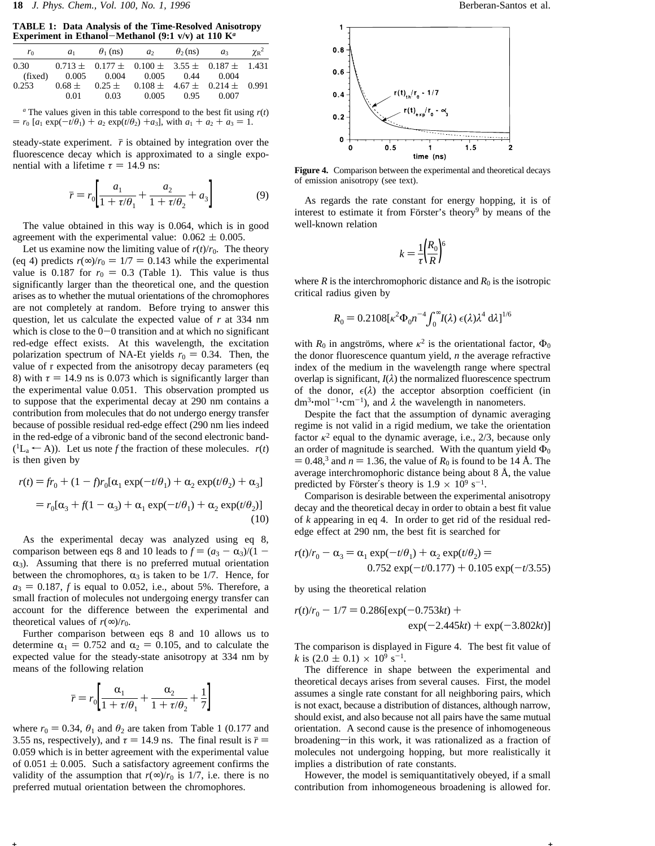**TABLE 1: Data Analysis of the Time-Resolved Anisotropy Experiment in Ethanol**-**Methanol (9:1 v/v) at 110 K***<sup>a</sup>*

| ro      | a <sub>1</sub> | $\theta_1$ (ns)                                          | a <sub>2</sub> | $\theta_2$ (ns) | $a_3$ | $\gamma_{\rm R}^2$ |
|---------|----------------|----------------------------------------------------------|----------------|-----------------|-------|--------------------|
| 0.30    |                | $0.713 \pm 0.177 \pm 0.100 \pm 3.55 \pm 0.187 \pm 1.431$ |                |                 |       |                    |
| (fixed) |                | $0.005$ $0.004$ $0.005$ $0.44$ $0.004$                   |                |                 |       |                    |
| 0.253   |                | $0.68 \pm 0.25 \pm 0.108 \pm 4.67 \pm 0.214 \pm 0.991$   |                |                 |       |                    |
|         | 0.01           | $0.03 -$                                                 | 0.005          | 0.95            | 0.007 |                    |

*<sup>a</sup>* The values given in this table correspond to the best fit using *r*(*t*)  $= r_0$  [ $a_1 \exp(-t/\theta_1) + a_2 \exp(t/\theta_2) + a_3$ ], with  $a_1 + a_2 + a_3 = 1$ .

steady-state experiment.  $\bar{r}$  is obtained by integration over the fluorescence decay which is approximated to a single exponential with a lifetime  $\tau = 14.9$  ns:

$$
\bar{r} = r_0 \left[ \frac{a_1}{1 + \tau/\theta_1} + \frac{a_2}{1 + \tau/\theta_2} + a_3 \right]
$$
(9)

The value obtained in this way is 0.064, which is in good agreement with the experimental value:  $0.062 \pm 0.005$ .

Let us examine now the limiting value of  $r(t)/r_0$ . The theory (eq 4) predicts  $r(\infty)/r_0 = 1/7 = 0.143$  while the experimental value is 0.187 for  $r_0 = 0.3$  (Table 1). This value is thus significantly larger than the theoretical one, and the question arises as to whether the mutual orientations of the chromophores are not completely at random. Before trying to answer this question, let us calculate the expected value of *r* at 334 nm which is close to the  $0-0$  transition and at which no significant red-edge effect exists. At this wavelength, the excitation polarization spectrum of NA-Et yields  $r_0 = 0.34$ . Then, the value of r expected from the anisotropy decay parameters (eq 8) with  $\tau = 14.9$  ns is 0.073 which is significantly larger than the experimental value 0.051. This observation prompted us to suppose that the experimental decay at 290 nm contains a contribution from molecules that do not undergo energy transfer because of possible residual red-edge effect (290 nm lies indeed in the red-edge of a vibronic band of the second electronic band-  $(1L_a \leftarrow A)$ ). Let us note *f* the fraction of these molecules. *r*(*t*) is then given by

$$
r(t) = fr_0 + (1 - fr_0[\alpha_1 \exp(-t/\theta_1) + \alpha_2 \exp(t/\theta_2) + \alpha_3]
$$
  
=  $r_0[\alpha_3 + f(1 - \alpha_3) + \alpha_1 \exp(-t/\theta_1) + \alpha_2 \exp(t/\theta_2)]$  (10)

As the experimental decay was analyzed using eq 8, comparison between eqs 8 and 10 leads to  $f = (a_3 - a_3)/(1 - a_3)$  $\alpha_3$ ). Assuming that there is no preferred mutual orientation between the chromophores,  $\alpha_3$  is taken to be 1/7. Hence, for  $a_3 = 0.187$ , *f* is equal to 0.052, i.e., about 5%. Therefore, a small fraction of molecules not undergoing energy transfer can account for the difference between the experimental and theoretical values of  $r(\infty)/r_0$ .

Further comparison between eqs 8 and 10 allows us to determine  $\alpha_1 = 0.752$  and  $\alpha_2 = 0.105$ , and to calculate the expected value for the steady-state anisotropy at 334 nm by means of the following relation

$$
\bar{r} = r_0 \left[ \frac{\alpha_1}{1+\tau/\theta_1} + \frac{\alpha_2}{1+\tau/\theta_2} + \frac{1}{7} \right]
$$

where  $r_0 = 0.34$ ,  $\theta_1$  and  $\theta_2$  are taken from Table 1 (0.177 and 3.55 ns, respectively), and  $\tau = 14.9$  ns. The final result is  $\bar{r} =$ 0.059 which is in better agreement with the experimental value of  $0.051 \pm 0.005$ . Such a satisfactory agreement confirms the validity of the assumption that  $r(\infty)/r_0$  is 1/7, i.e. there is no preferred mutual orientation between the chromophores.



**Figure 4.** Comparison between the experimental and theoretical decays of emission anisotropy (see text).

As regards the rate constant for energy hopping, it is of interest to estimate it from Förster's theory<sup>9</sup> by means of the well-known relation

$$
k = \frac{1}{\tau} \left(\frac{R_0}{R}\right)^6
$$

where  $R$  is the interchromophoric distance and  $R_0$  is the isotropic critical radius given by

$$
R_0 = 0.2108[\kappa^2 \Phi_0 n^{-4} \int_0^\infty I(\lambda) \epsilon(\lambda) \lambda^4 d\lambda]^{1/6}
$$

with  $R_0$  in angströms, where  $\kappa^2$  is the orientational factor,  $\Phi_0$ the donor fluorescence quantum yield, *n* the average refractive index of the medium in the wavelength range where spectral overlap is significant,  $I(\lambda)$  the normalized fluorescence spectrum of the donor,  $\epsilon(\lambda)$  the acceptor absorption coefficient (in  $dm^3 \cdot mol^{-1} \cdot cm^{-1}$ , and  $\lambda$  the wavelength in nanometers.

Despite the fact that the assumption of dynamic averaging regime is not valid in a rigid medium, we take the orientation factor  $\kappa^2$  equal to the dynamic average, i.e., 2/3, because only an order of magnitude is searched. With the quantum yield  $\Phi_0$  $= 0.48$ ,<sup>3</sup> and  $n = 1.36$ , the value of  $R_0$  is found to be 14 Å. The average interchromophoric distance being about 8 Å, the value predicted by Förster's theory is  $1.9 \times 10^9$  s<sup>-1</sup>.

Comparison is desirable between the experimental anisotropy decay and the theoretical decay in order to obtain a best fit value of *k* appearing in eq 4. In order to get rid of the residual rededge effect at 290 nm, the best fit is searched for

$$
r(t)/r_0 - \alpha_3 = \alpha_1 \exp(-t/\theta_1) + \alpha_2 \exp(t/\theta_2) =
$$
  
0.752 exp(-t/0.177) + 0.105 exp(-t/3.55)

by using the theoretical relation

**+ +**

$$
r(t)/r_0 - 1/7 = 0.286[\exp(-0.753kt) + \exp(-2.445kt) + \exp(-3.802kt)]
$$

The comparison is displayed in Figure 4. The best fit value of *k* is  $(2.0 \pm 0.1) \times 10^9$  s<sup>-1</sup>.

The difference in shape between the experimental and theoretical decays arises from several causes. First, the model assumes a single rate constant for all neighboring pairs, which is not exact, because a distribution of distances, although narrow, should exist, and also because not all pairs have the same mutual orientation. A second cause is the presence of inhomogeneous broadening-in this work, it was rationalized as a fraction of molecules not undergoing hopping, but more realistically it implies a distribution of rate constants.

However, the model is semiquantitatively obeyed, if a small contribution from inhomogeneous broadening is allowed for.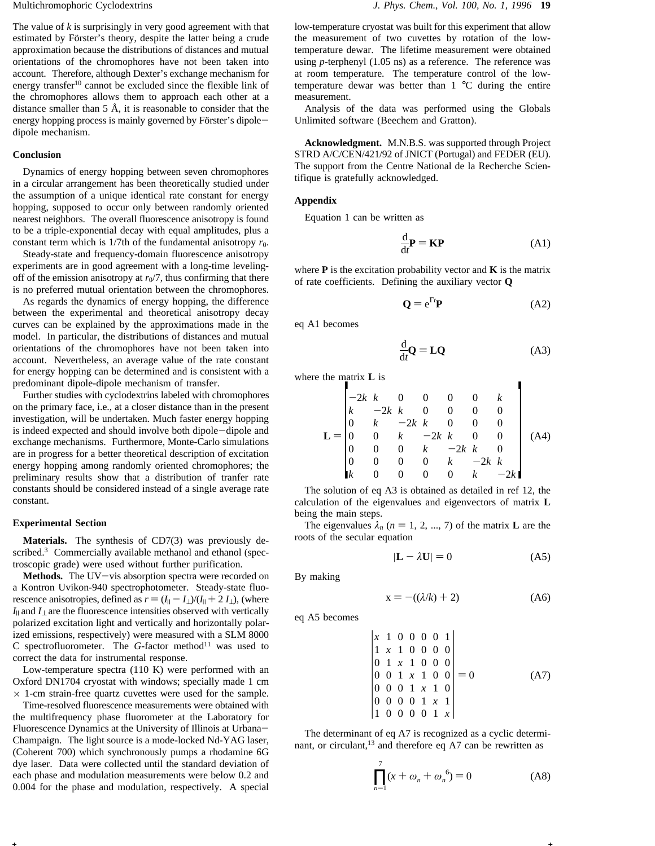The value of *k* is surprisingly in very good agreement with that estimated by Förster's theory, despite the latter being a crude approximation because the distributions of distances and mutual orientations of the chromophores have not been taken into account. Therefore, although Dexter's exchange mechanism for energy transfer<sup>10</sup> cannot be excluded since the flexible link of the chromophores allows them to approach each other at a distance smaller than 5 Å, it is reasonable to consider that the energy hopping process is mainly governed by Förster's dipoledipole mechanism.

### **Conclusion**

Dynamics of energy hopping between seven chromophores in a circular arrangement has been theoretically studied under the assumption of a unique identical rate constant for energy hopping, supposed to occur only between randomly oriented nearest neighbors. The overall fluorescence anisotropy is found to be a triple-exponential decay with equal amplitudes, plus a constant term which is  $1/7$ th of the fundamental anisotropy  $r_0$ .

Steady-state and frequency-domain fluorescence anisotropy experiments are in good agreement with a long-time levelingoff of the emission anisotropy at  $r_0/7$ , thus confirming that there is no preferred mutual orientation between the chromophores.

As regards the dynamics of energy hopping, the difference between the experimental and theoretical anisotropy decay curves can be explained by the approximations made in the model. In particular, the distributions of distances and mutual orientations of the chromophores have not been taken into account. Nevertheless, an average value of the rate constant for energy hopping can be determined and is consistent with a predominant dipole-dipole mechanism of transfer.

Further studies with cyclodextrins labeled with chromophores on the primary face, i.e., at a closer distance than in the present investigation, will be undertaken. Much faster energy hopping is indeed expected and should involve both dipole-dipole and exchange mechanisms. Furthermore, Monte-Carlo simulations are in progress for a better theoretical description of excitation energy hopping among randomly oriented chromophores; the preliminary results show that a distribution of tranfer rate constants should be considered instead of a single average rate constant.

### **Experimental Section**

**Materials.** The synthesis of CD7(3) was previously described.<sup>3</sup> Commercially available methanol and ethanol (spectroscopic grade) were used without further purification.

Methods. The UV-vis absorption spectra were recorded on a Kontron Uvikon-940 spectrophotometer. Steady-state fluorescence anisotropies, defined as  $r = (I_{\parallel} - I_{\perp})/(I_{\parallel} + 2 I_{\perp})$ , (where *I*|| and *I*<sup>⊥</sup> are the fluorescence intensities observed with vertically polarized excitation light and vertically and horizontally polarized emissions, respectively) were measured with a SLM 8000 C spectrofluorometer. The G-factor method<sup>11</sup> was used to correct the data for instrumental response.

Low-temperature spectra (110 K) were performed with an Oxford DN1704 cryostat with windows; specially made 1 cm  $\times$  1-cm strain-free quartz cuvettes were used for the sample.

Time-resolved fluorescence measurements were obtained with the multifrequency phase fluorometer at the Laboratory for Fluorescence Dynamics at the University of Illinois at Urbana-Champaign. The light source is a mode-locked Nd-YAG laser, (Coherent 700) which synchronously pumps a rhodamine 6G dye laser. Data were collected until the standard deviation of each phase and modulation measurements were below 0.2 and 0.004 for the phase and modulation, respectively. A special low-temperature cryostat was built for this experiment that allow the measurement of two cuvettes by rotation of the lowtemperature dewar. The lifetime measurement were obtained using *p*-terphenyl (1.05 ns) as a reference. The reference was at room temperature. The temperature control of the lowtemperature dewar was better than 1 °C during the entire measurement.

Analysis of the data was performed using the Globals Unlimited software (Beechem and Gratton).

**Acknowledgment.** M.N.B.S. was supported through Project STRD A/C/CEN/421/92 of JNICT (Portugal) and FEDER (EU). The support from the Centre National de la Recherche Scientifique is gratefully acknowledged.

### **Appendix**

Equation 1 can be written as

$$
\frac{\mathrm{d}}{\mathrm{d}t} \mathbf{P} = \mathbf{K} \mathbf{P} \tag{A1}
$$

where  $P$  is the excitation probability vector and  $K$  is the matrix of rate coefficients. Defining the auxiliary vector **Q**

$$
\mathbf{Q} = e^{\Gamma t} \mathbf{P} \tag{A2}
$$

eq A1 becomes

$$
\frac{\mathrm{d}}{\mathrm{d}t}\mathbf{Q} = \mathbf{L}\mathbf{Q} \tag{A3}
$$

where the matrix **L** is

$$
\mathbf{L} = \begin{bmatrix} -2k & k & 0 & 0 & 0 & 0 & k \\ k & -2k & k & 0 & 0 & 0 & 0 \\ 0 & k & -2k & k & 0 & 0 & 0 \\ 0 & 0 & k & -2k & k & 0 & 0 \\ 0 & 0 & 0 & k & -2k & k & 0 \\ 0 & 0 & 0 & 0 & k & -2k & k \\ k & 0 & 0 & 0 & 0 & k & -2k \end{bmatrix}
$$
 (A4)

The solution of eq A3 is obtained as detailed in ref 12, the calculation of the eigenvalues and eigenvectors of matrix **L** being the main steps.

The eigenvalues  $\lambda_n$  ( $n = 1, 2, ..., 7$ ) of the matrix **L** are the roots of the secular equation

$$
|\mathbf{L} - \lambda \mathbf{U}| = 0 \tag{A5}
$$

By making

**+ +**

$$
x = -((\lambda/k) + 2) \tag{A6}
$$

eq A5 becomes

$$
\begin{vmatrix}\nx & 1 & 0 & 0 & 0 & 0 & 1 \\
1 & x & 1 & 0 & 0 & 0 & 0 \\
0 & 1 & x & 1 & 0 & 0 & 0 \\
0 & 0 & 1 & x & 1 & 0 & 0 \\
0 & 0 & 0 & 1 & x & 1 & 0 \\
0 & 0 & 0 & 0 & 1 & x & 1 \\
1 & 0 & 0 & 0 & 0 & 1 & x\n\end{vmatrix} = 0
$$
 (A7)

The determinant of eq A7 is recognized as a cyclic determinant, or circulant,<sup>13</sup> and therefore eq A7 can be rewritten as

$$
\prod_{n=1}^{7} (x + \omega_n + \omega_n^{6}) = 0
$$
 (A8)